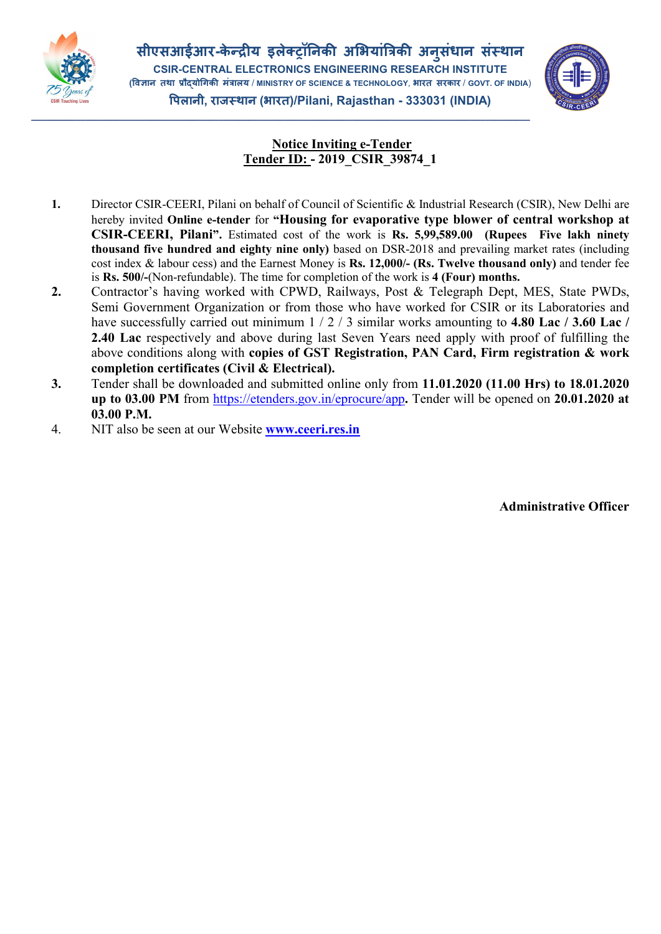

\_\_\_\_\_\_\_\_\_\_\_\_\_\_\_\_\_\_\_\_\_\_\_\_\_\_\_\_\_\_\_\_\_\_\_\_\_\_\_\_\_\_\_\_\_\_\_\_\_\_\_\_\_\_\_\_\_\_\_\_\_\_\_\_\_\_\_\_\_\_\_\_\_\_\_\_\_\_\_\_\_\_\_\_\_\_\_\_\_\_\_\_\_\_\_\_\_\_\_\_\_



## Notice Inviting e-Tender Tender ID: - 2019\_CSIR\_39874\_1

- 1. Director CSIR-CEERI, Pilani on behalf of Council of Scientific & Industrial Research (CSIR), New Delhi are hereby invited Online e-tender for "Housing for evaporative type blower of central workshop at CSIR-CEERI, Pilani". Estimated cost of the work is Rs. 5,99,589.00 (Rupees Five lakh ninety thousand five hundred and eighty nine only) based on DSR-2018 and prevailing market rates (including cost index & labour cess) and the Earnest Money is Rs. 12,000/- (Rs. Twelve thousand only) and tender fee is Rs. 500/-(Non-refundable). The time for completion of the work is 4 (Four) months.
- 2. Contractor's having worked with CPWD, Railways, Post & Telegraph Dept, MES, State PWDs, Semi Government Organization or from those who have worked for CSIR or its Laboratories and have successfully carried out minimum 1 / 2 / 3 similar works amounting to 4.80 Lac / 3.60 Lac / 2.40 Lac respectively and above during last Seven Years need apply with proof of fulfilling the above conditions along with copies of GST Registration, PAN Card, Firm registration & work completion certificates (Civil & Electrical).
- 3. Tender shall be downloaded and submitted online only from 11.01.2020 (11.00 Hrs) to 18.01.2020 up to 03.00 PM from https://etenders.gov.in/eprocure/app. Tender will be opened on 20.01.2020 at 03.00 P.M.
- 4. NIT also be seen at our Website **[www.ceeri.res.in](http://www.ceeri.res.in/)**

Administrative Officer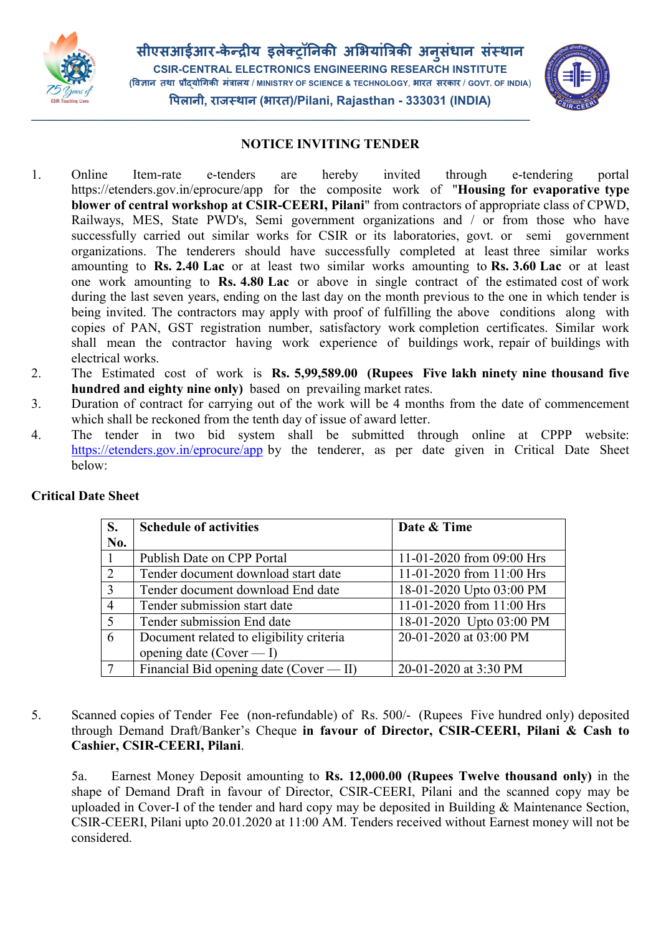



## NOTICE INVITING TENDER

\_\_\_\_\_\_\_\_\_\_\_\_\_\_\_\_\_\_\_\_\_\_\_\_\_\_\_\_\_\_\_\_\_\_\_\_\_\_\_\_\_\_\_\_\_\_\_\_\_\_\_\_\_\_\_\_\_\_\_\_\_\_\_\_\_\_\_\_\_\_\_\_\_\_\_\_\_\_\_\_\_\_\_\_\_\_\_\_\_\_\_\_\_\_\_\_\_\_\_\_\_

- 1. Online Item-rate e-tenders are hereby invited through e-tendering portal https://etenders.gov.in/eprocure/app for the composite work of "**Housing for evaporative type** blower of central workshop at CSIR-CEERI, Pilani" from contractors of appropriate class of CPWD, Railways, MES, State PWD's, Semi government organizations and / or from those who have successfully carried out similar works for CSIR or its laboratories, govt. or semi government organizations. The tenderers should have successfully completed at least three similar works amounting to Rs. 2.40 Lac or at least two similar works amounting to Rs. 3.60 Lac or at least one work amounting to Rs. 4.80 Lac or above in single contract of the estimated cost of work during the last seven years, ending on the last day on the month previous to the one in which tender is being invited. The contractors may apply with proof of fulfilling the above conditions along with copies of PAN, GST registration number, satisfactory work completion certificates. Similar work shall mean the contractor having work experience of buildings work, repair of buildings with electrical works.
- 2. The Estimated cost of work is Rs. 5,99,589.00 (Rupees Five lakh ninety nine thousand five hundred and eighty nine only) based on prevailing market rates.
- 3. Duration of contract for carrying out of the work will be 4 months from the date of commencement which shall be reckoned from the tenth day of issue of award letter.
- 4. The tender in two bid system shall be submitted through online at CPPP website: https://etenders.gov.in/eprocure/app by the tenderer, as per date given in Critical Date Sheet below:

| S.             | <b>Schedule of activities</b>            | Date & Time               |
|----------------|------------------------------------------|---------------------------|
| No.            |                                          |                           |
|                | Publish Date on CPP Portal               | 11-01-2020 from 09:00 Hrs |
| 2              | Tender document download start date      | 11-01-2020 from 11:00 Hrs |
| 3              | Tender document download End date        | 18-01-2020 Upto 03:00 PM  |
| $\overline{4}$ | Tender submission start date             | 11-01-2020 from 11:00 Hrs |
| 5              | Tender submission End date               | 18-01-2020 Upto 03:00 PM  |
| 6              | Document related to eligibility criteria | 20-01-2020 at 03:00 PM    |
|                | opening date (Cover $- I$ )              |                           |
|                | Financial Bid opening date (Cover — II)  | 20-01-2020 at 3:30 PM     |

## Critical Date Sheet

5. Scanned copies of Tender Fee (non-refundable) of Rs. 500/- (Rupees Five hundred only) deposited through Demand Draft/Banker's Cheque in favour of Director, CSIR-CEERI, Pilani & Cash to Cashier, CSIR-CEERI, Pilani.

5a. Earnest Money Deposit amounting to Rs. 12,000.00 (Rupees Twelve thousand only) in the shape of Demand Draft in favour of Director, CSIR-CEERI, Pilani and the scanned copy may be uploaded in Cover-I of the tender and hard copy may be deposited in Building & Maintenance Section, CSIR-CEERI, Pilani upto 20.01.2020 at 11:00 AM. Tenders received without Earnest money will not be considered.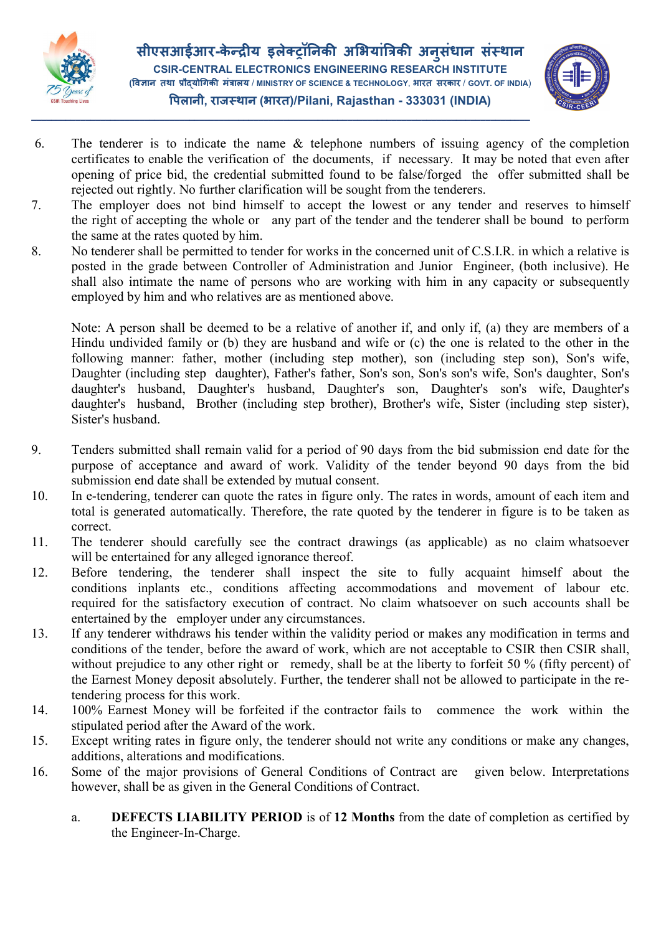

सीएसआईआर-केन्द्रीय इलेक्ट्रॉनिकी अभियांत्रिकी अनुसंधान संस्थान ु CSIR-CENTRAL ELECTRONICS ENGINEERING RESEARCH INSTITUTE (विज्ञान तथा प्रौदयोगिकी मंत्रालय / MINISTRY OF SCIENCE & TECHNOLOGY, भारत सरकार / GOVT. OF INDIA) पलानी, राज थान (भारत)/Pilani, Rajasthan - 333031 (INDIA)

\_\_\_\_\_\_\_\_\_\_\_\_\_\_\_\_\_\_\_\_\_\_\_\_\_\_\_\_\_\_\_\_\_\_\_\_\_\_\_\_\_\_\_\_\_\_\_\_\_\_\_\_\_\_\_\_\_\_\_\_\_\_\_\_\_\_\_\_\_\_\_\_\_\_\_\_\_\_\_\_\_\_\_\_\_\_\_\_\_\_\_\_\_\_\_\_\_\_\_\_\_



- 6. The tenderer is to indicate the name & telephone numbers of issuing agency of the completion certificates to enable the verification of the documents, if necessary. It may be noted that even after opening of price bid, the credential submitted found to be false/forged the offer submitted shall be rejected out rightly. No further clarification will be sought from the tenderers.
- 7. The employer does not bind himself to accept the lowest or any tender and reserves to himself the right of accepting the whole or any part of the tender and the tenderer shall be bound to perform the same at the rates quoted by him.
- 8. No tenderer shall be permitted to tender for works in the concerned unit of C.S.I.R. in which a relative is posted in the grade between Controller of Administration and Junior Engineer, (both inclusive). He shall also intimate the name of persons who are working with him in any capacity or subsequently employed by him and who relatives are as mentioned above.

Note: A person shall be deemed to be a relative of another if, and only if, (a) they are members of a Hindu undivided family or (b) they are husband and wife or (c) the one is related to the other in the following manner: father, mother (including step mother), son (including step son), Son's wife, Daughter (including step daughter), Father's father, Son's son, Son's son's wife, Son's daughter, Son's daughter's husband, Daughter's husband, Daughter's son, Daughter's son's wife, Daughter's daughter's husband, Brother (including step brother), Brother's wife, Sister (including step sister), Sister's husband.

- 9. Tenders submitted shall remain valid for a period of 90 days from the bid submission end date for the purpose of acceptance and award of work. Validity of the tender beyond 90 days from the bid submission end date shall be extended by mutual consent.
- 10. In e-tendering, tenderer can quote the rates in figure only. The rates in words, amount of each item and total is generated automatically. Therefore, the rate quoted by the tenderer in figure is to be taken as correct.
- 11. The tenderer should carefully see the contract drawings (as applicable) as no claim whatsoever will be entertained for any alleged ignorance thereof.
- 12. Before tendering, the tenderer shall inspect the site to fully acquaint himself about the conditions inplants etc., conditions affecting accommodations and movement of labour etc. required for the satisfactory execution of contract. No claim whatsoever on such accounts shall be entertained by the employer under any circumstances.
- 13. If any tenderer withdraws his tender within the validity period or makes any modification in terms and conditions of the tender, before the award of work, which are not acceptable to CSIR then CSIR shall, without prejudice to any other right or remedy, shall be at the liberty to forfeit 50 % (fifty percent) of the Earnest Money deposit absolutely. Further, the tenderer shall not be allowed to participate in the retendering process for this work.
- 14. 100% Earnest Money will be forfeited if the contractor fails to commence the work within the stipulated period after the Award of the work.
- 15. Except writing rates in figure only, the tenderer should not write any conditions or make any changes, additions, alterations and modifications.
- 16. Some of the major provisions of General Conditions of Contract are given below. Interpretations however, shall be as given in the General Conditions of Contract.
	- a. DEFECTS LIABILITY PERIOD is of 12 Months from the date of completion as certified by the Engineer-In-Charge.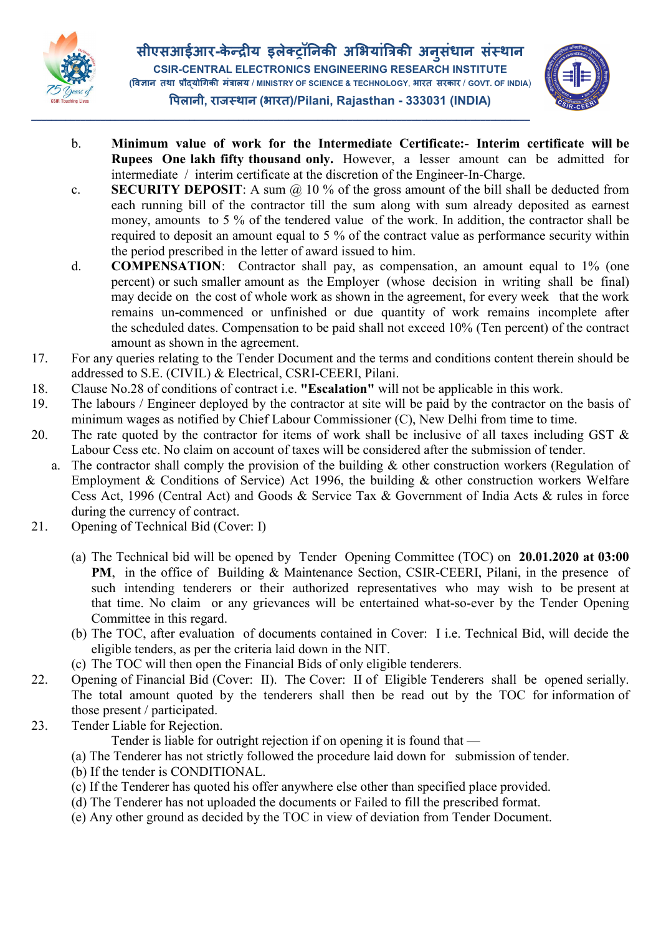

\_\_\_\_\_\_\_\_\_\_\_\_\_\_\_\_\_\_\_\_\_\_\_\_\_\_\_\_\_\_\_\_\_\_\_\_\_\_\_\_\_\_\_\_\_\_\_\_\_\_\_\_\_\_\_\_\_\_\_\_\_\_\_\_\_\_\_\_\_\_\_\_\_\_\_\_\_\_\_\_\_\_\_\_\_\_\_\_\_\_\_\_\_\_\_\_\_\_\_\_\_



- b. Minimum value of work for the Intermediate Certificate:- Interim certificate will be Rupees One lakh fifty thousand only. However, a lesser amount can be admitted for intermediate / interim certificate at the discretion of the Engineer-In-Charge.
- c. SECURITY DEPOSIT: A sum  $\omega$  10 % of the gross amount of the bill shall be deducted from each running bill of the contractor till the sum along with sum already deposited as earnest money, amounts to 5 % of the tendered value of the work. In addition, the contractor shall be required to deposit an amount equal to 5 % of the contract value as performance security within the period prescribed in the letter of award issued to him.
- d. COMPENSATION: Contractor shall pay, as compensation, an amount equal to 1% (one percent) or such smaller amount as the Employer (whose decision in writing shall be final) may decide on the cost of whole work as shown in the agreement, for every week that the work remains un-commenced or unfinished or due quantity of work remains incomplete after the scheduled dates. Compensation to be paid shall not exceed 10% (Ten percent) of the contract amount as shown in the agreement.
- 17. For any queries relating to the Tender Document and the terms and conditions content therein should be addressed to S.E. (CIVIL) & Electrical, CSRI-CEERI, Pilani.
- 18. Clause No.28 of conditions of contract i.e. "Escalation" will not be applicable in this work.
- 19. The labours / Engineer deployed by the contractor at site will be paid by the contractor on the basis of minimum wages as notified by Chief Labour Commissioner (C), New Delhi from time to time.
- 20. The rate quoted by the contractor for items of work shall be inclusive of all taxes including GST  $\&$ Labour Cess etc. No claim on account of taxes will be considered after the submission of tender.
	- a. The contractor shall comply the provision of the building  $\&$  other construction workers (Regulation of Employment & Conditions of Service) Act 1996, the building  $\&$  other construction workers Welfare Cess Act, 1996 (Central Act) and Goods & Service Tax & Government of India Acts & rules in force during the currency of contract.
- 21. Opening of Technical Bid (Cover: I)
	- (a) The Technical bid will be opened by Tender Opening Committee (TOC) on 20.01.2020 at 03:00 PM, in the office of Building & Maintenance Section, CSIR-CEERI, Pilani, in the presence of such intending tenderers or their authorized representatives who may wish to be present at that time. No claim or any grievances will be entertained what-so-ever by the Tender Opening Committee in this regard.
	- (b) The TOC, after evaluation of documents contained in Cover: I i.e. Technical Bid, will decide the eligible tenders, as per the criteria laid down in the NIT.
	- (c) The TOC will then open the Financial Bids of only eligible tenderers.
- 22. Opening of Financial Bid (Cover: II). The Cover: II of Eligible Tenderers shall be opened serially. The total amount quoted by the tenderers shall then be read out by the TOC for information of those present / participated.
- 23. Tender Liable for Rejection.

Tender is liable for outright rejection if on opening it is found that —

- (a) The Tenderer has not strictly followed the procedure laid down for submission of tender.
- (b) If the tender is CONDITIONAL.
- (c) If the Tenderer has quoted his offer anywhere else other than specified place provided.
- (d) The Tenderer has not uploaded the documents or Failed to fill the prescribed format.
- (e) Any other ground as decided by the TOC in view of deviation from Tender Document.